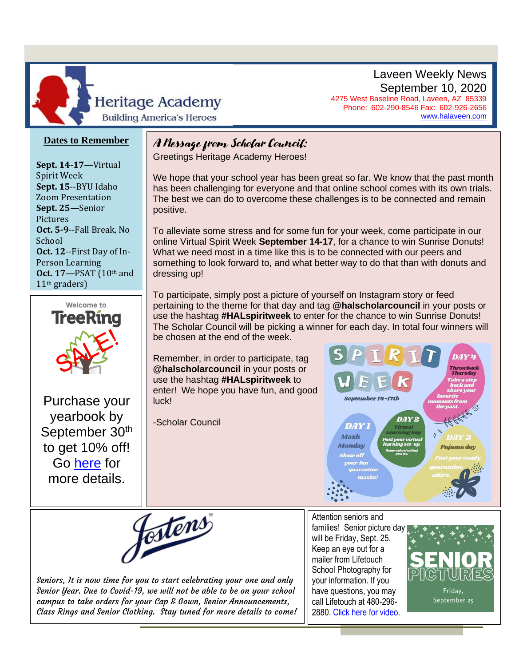

Laveen Weekly News September 10, 2020 4275 West Baseline Road, Laveen, AZ 85339

[www.halaveen.com](file:///C:/Users/bfarris/Documents/Weekly%20Annoucements/www.halaveen.com)

Phone: 602-290-8546 Fax: 602-926-2656

#### **Dates to Remember**

**Sept. 14-17**—Virtual Spirit Week **Sept. 15**--BYU Idaho Zoom Presentation **Sept. 25**—Senior Pictures **Oct. 5-9**--Fall Break, No School **Oct. 12**--First Day of In-Person Learning **Oct. 17**—PSAT (10th and 11th graders)



 $\overline{\phantom{a}}$ 

Purchase your yearbook by September 30<sup>th</sup> to get 10% off! Go [here](https://halaveen.com/wp-content/uploads/sites/14/2020/08/yearbook-flier-20-21.pdf) for more details.

#### A Message from Scholar Council:

Greetings Heritage Academy Heroes!

We hope that your school year has been great so far. We know that the past month has been challenging for everyone and that online school comes with its own trials. The best we can do to overcome these challenges is to be connected and remain positive.

To alleviate some stress and for some fun for your week, come participate in our online Virtual Spirit Week **September 14-17**, for a chance to win Sunrise Donuts! What we need most in a time like this is to be connected with our peers and something to look forward to, and what better way to do that than with donuts and dressing up!

 $\frac{1}{2}$ nı Jul The Scholar Council will be picking a winner for each day. In total four winners will<br>be chosen at the end of the week To participate, simply post a picture of yourself on Instagram story or feed pertaining to the theme for that day and tag **@halscholarcouncil** in your posts or use the hashtag **#HALspiritweek** to enter for the chance to win Sunrise Donuts! be chosen at the end of the week.

Remember, in order to participate, tag **@halscholarcouncil** in your posts or use the hashtag **#HALspiritweek** to enter! We hope you have fun, and good luck!

-Scholar Council





Seniors, It is now time for you to start celebrating your one and only Senior Year. Due to Covid-19, we will not be able to be on your school campus to take orders for your Cap & Gown, Senior Announcements, Class Rings and Senior Clothing. Stay tuned for more details to come!

Attention seniors and families! Senior picture day will be Friday, Sept. 25. Keep an eye out for a mailer from Lifetouch School Photography for your information. If you have questions, you may call Lifetouch at 480-296- 2880. [Click here for video.](https://www.youtube.com/watch?v=oFa6NYrBlmc&feature=youtu.be)

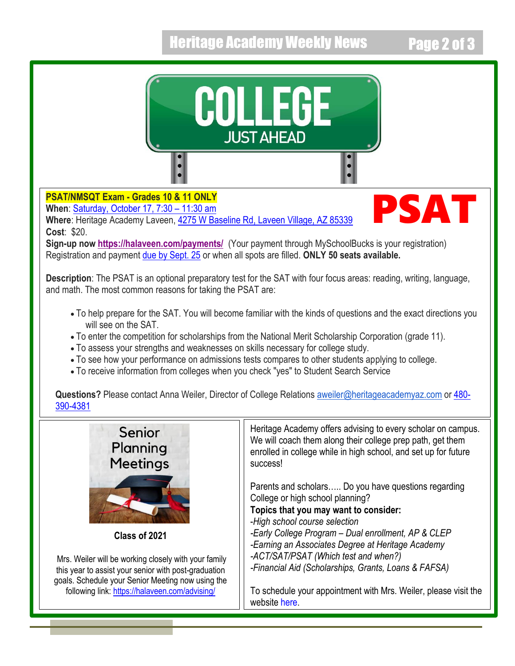## Heritage Academy Weekly News Page 2 of 3

PSAT



### **PSAT/NMSQT Exam - Grades 10 & 11 ONLY**

**When**: [Saturday, October 17, 7:30](x-apple-data-detectors://0/) – 11:30 am

**Where**: Heritage Academy Laveen, [4275 W Baseline Rd, Laveen Village, AZ 85339](x-apple-data-detectors://1/) **Cost**: \$20.

**Sign-up now <https://halaveen.com/payments/>** (Your payment through MySchoolBucks is your registration) Registration and payment [due by Sept. 25](x-apple-data-detectors://4/) or when all spots are filled. **ONLY 50 seats available.**

**Description**: The PSAT is an optional preparatory test for the SAT with four focus areas: reading, writing, language, and math. The most common reasons for taking the PSAT are:

- To help prepare for the SAT. You will become familiar with the kinds of questions and the exact directions you will see on the SAT
- To enter the competition for scholarships from the National Merit Scholarship Corporation (grade 11).
- To assess your strengths and weaknesses on skills necessary for college study.
- To see how your performance on admissions tests compares to other students applying to college.
- To receive information from colleges when you check "yes" to Student Search Service

**Questions?** Please contact Anna Weiler, Director of College Relations [aweiler@heritageacademyaz.com](mailto:aweiler@heritageacademyaz.com) or [480-](tel:480-390-4381) [390-4381](tel:480-390-4381)



**Class of 2021**

Mrs. Weiler will be working closely with your family this year to assist your senior with post-graduation goals. Schedule your Senior Meeting now using the following link: <https://halaveen.com/advising/>

Heritage Academy offers advising to every scholar on campus. We will coach them along their college prep path, get them enrolled in college while in high school, and set up for future success!

Parents and scholars….. Do you have questions regarding College or high school planning?

**Topics that you may want to consider:** 

-*High school course selection*

*-Early College Program – Dual enrollment, AP & CLEP -Earning an Associates Degree at Heritage Academy -ACT/SAT/PSAT (Which test and when?)*

*-Financial Aid (Scholarships, Grants, Loans & FAFSA)*

To schedule your appointment with Mrs. Weiler, please visit the website [here.](https://halaveen.com/advising/)